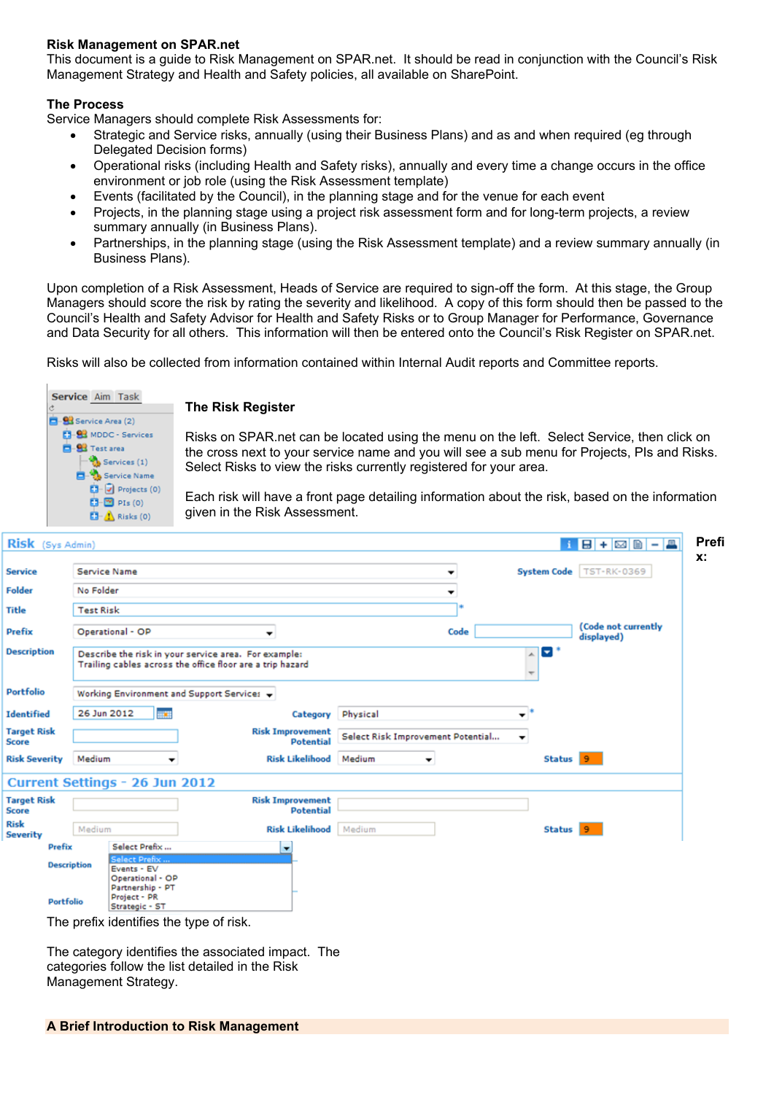## **Risk Management on SPAR.net**

This document is a guide to Risk Management on SPAR.net. It should be read in conjunction with the Council's Risk Management Strategy and Health and Safety policies, all available on SharePoint.

## **The Process**

Service Managers should complete Risk Assessments for:

- Strategic and Service risks, annually (using their Business Plans) and as and when required (eg through Delegated Decision forms)
- Operational risks (including Health and Safety risks), annually and every time a change occurs in the office environment or job role (using the Risk Assessment template)
- Events (facilitated by the Council), in the planning stage and for the venue for each event
- Projects, in the planning stage using a project risk assessment form and for long-term projects, a review summary annually (in Business Plans).
- Partnerships, in the planning stage (using the Risk Assessment template) and a review summary annually (in Business Plans).

Upon completion of a Risk Assessment, Heads of Service are required to sign-off the form. At this stage, the Group Managers should score the risk by rating the severity and likelihood. A copy of this form should then be passed to the Council's Health and Safety Advisor for Health and Safety Risks or to Group Manager for Performance, Governance and Data Security for all others. This information will then be entered onto the Council's Risk Register on SPAR.net.

Risks will also be collected from information contained within Internal Audit reports and Committee reports.



### **The Risk Register**

Risks on SPAR.net can be located using the menu on the left. Select Service, then click on the cross next to your service name and you will see a sub menu for Projects, PIs and Risks. Select Risks to view the risks currently registered for your area.

Each risk will have a front page detailing information about the risk, based on the information given in the Risk Assessment.

| Risk (Sys Admin)                   |                                                                                                                   |                                             |                                   |                          |                      | 1 8 + <b>2 1 - 4</b>              |
|------------------------------------|-------------------------------------------------------------------------------------------------------------------|---------------------------------------------|-----------------------------------|--------------------------|----------------------|-----------------------------------|
| <b>Service</b>                     | <b>Service Name</b>                                                                                               |                                             |                                   | ۰                        |                      | System Code   TST-RK-0369         |
| <b>Folder</b>                      | No Folder                                                                                                         |                                             |                                   | $\overline{\phantom{a}}$ |                      |                                   |
| Title                              | <b>Test Risk</b>                                                                                                  |                                             |                                   |                          |                      |                                   |
| <b>Prefix</b>                      | Operational - OP                                                                                                  | ▼                                           |                                   | Code                     |                      | (Code not currently<br>displayed) |
| <b>Description</b>                 | Describe the risk in your service area. For example:<br>Trailing cables across the office floor are a trip hazard |                                             |                                   |                          | E                    |                                   |
| <b>Portfolio</b>                   | Working Environment and Support Services +                                                                        |                                             |                                   |                          |                      |                                   |
| <b>Identified</b>                  | 26 Jun 2012<br><b>WE</b>                                                                                          |                                             | Category Physical                 |                          | $\mathbf{v}^*$       |                                   |
| <b>Target Risk</b><br><b>Score</b> |                                                                                                                   | <b>Risk Improvement</b><br><b>Potential</b> | Select Risk Improvement Potential |                          | $\blacktriangledown$ |                                   |
| <b>Risk Severity</b>               | Medium<br>$\overline{\phantom{a}}$                                                                                | Risk Likelihood Medium                      | $\blacktriangledown$              |                          | Status 9             |                                   |
|                                    | Current Settings - 26 Jun 2012                                                                                    |                                             |                                   |                          |                      |                                   |
| <b>Target Risk</b><br><b>Score</b> |                                                                                                                   | <b>Risk Improvement</b><br><b>Potential</b> |                                   |                          |                      |                                   |
| <b>Risk</b><br><b>Severity</b>     | Medium                                                                                                            | Risk Likelihood   Medium                    |                                   |                          | Status 9             |                                   |
| Prefix                             | Select Prefix<br><b>Select Prefix</b>                                                                             |                                             |                                   |                          |                      |                                   |
| <b>Description</b>                 | Events - EV<br>Operational - OP<br>Partnership - PT                                                               |                                             |                                   |                          |                      |                                   |
| Portfolio                          | Project - PR<br>Strategic - ST                                                                                    |                                             |                                   |                          |                      |                                   |
|                                    | The prefix identifies the type of risk.                                                                           |                                             |                                   |                          |                      |                                   |

The category identifies the associated impact. The categories follow the list detailed in the Risk Management Strategy.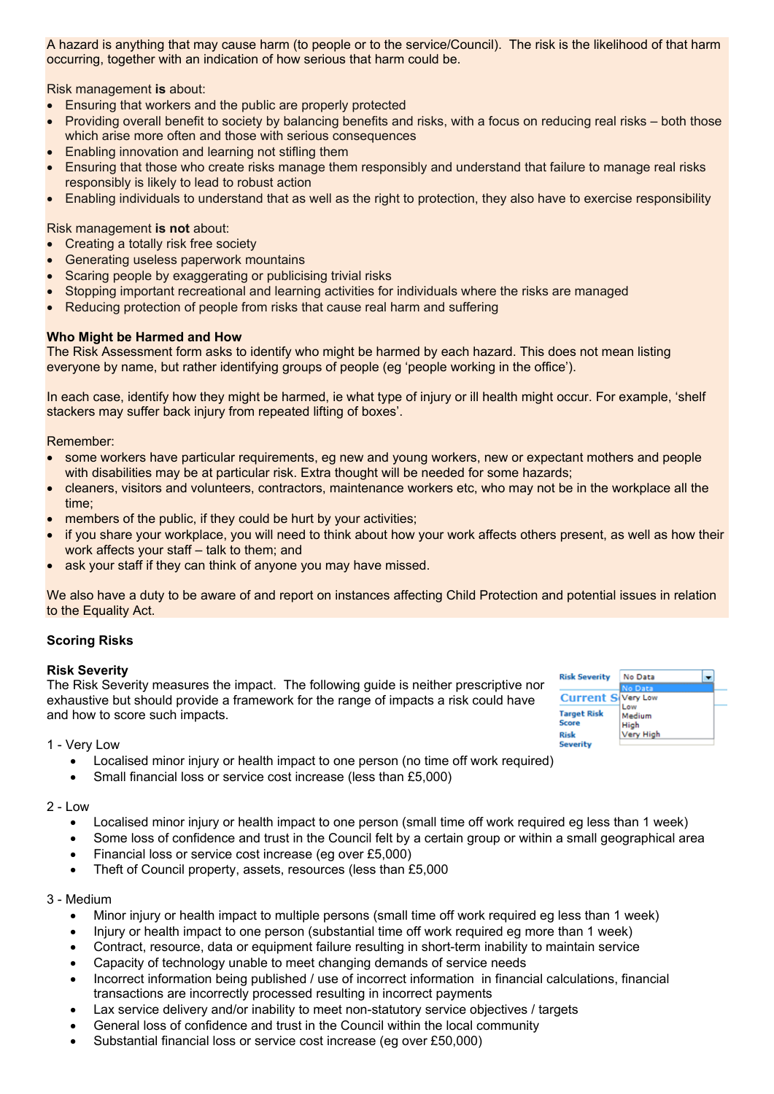A hazard is anything that may cause harm (to people or to the service/Council). The risk is the likelihood of that harm occurring, together with an indication of how serious that harm could be.

Risk management **is** about:

- Ensuring that workers and the public are properly protected
- Providing overall benefit to society by balancing benefits and risks, with a focus on reducing real risks both those which arise more often and those with serious consequences
- Enabling innovation and learning not stifling them
- Ensuring that those who create risks manage them responsibly and understand that failure to manage real risks responsibly is likely to lead to robust action
- Enabling individuals to understand that as well as the right to protection, they also have to exercise responsibility

Risk management **is not** about:

- Creating a totally risk free society
- Generating useless paperwork mountains
- Scaring people by exaggerating or publicising trivial risks
- Stopping important recreational and learning activities for individuals where the risks are managed
- Reducing protection of people from risks that cause real harm and suffering

### **Who Might be Harmed and How**

The Risk Assessment form asks to identify who might be harmed by each hazard. This does not mean listing everyone by name, but rather identifying groups of people (eg 'people working in the office').

In each case, identify how they might be harmed, ie what type of injury or ill health might occur. For example, 'shelf stackers may suffer back injury from repeated lifting of boxes'.

### Remember:

- some workers have particular requirements, eg new and young workers, new or expectant mothers and people with disabilities may be at particular risk. Extra thought will be needed for some hazards;
- cleaners, visitors and volunteers, contractors, maintenance workers etc, who may not be in the workplace all the time;
- members of the public, if they could be hurt by your activities;
- if you share your workplace, you will need to think about how your work affects others present, as well as how their work affects your staff – talk to them; and
- ask your staff if they can think of anyone you may have missed.

We also have a duty to be aware of and report on instances affecting Child Protection and potential issues in relation to the Equality Act.

### **Scoring Risks**

### **Risk Severity**

The Risk Severity measures the impact. The following guide is neither prescriptive nor exhaustive but should provide a framework for the range of impacts a risk could have and how to score such impacts.

| <b>Risk Severity</b>               | No Data               |  |  |  |  |  |
|------------------------------------|-----------------------|--|--|--|--|--|
|                                    | o Data                |  |  |  |  |  |
| <b>Current St</b>                  | <b>Very Low</b>       |  |  |  |  |  |
| <b>Target Risk</b><br><b>Score</b> | Low<br>Medium<br>High |  |  |  |  |  |
| Risk<br>Covarity                   | Very High             |  |  |  |  |  |

### 1 - Very Low

- Localised minor injury or health impact to one person (no time off work required)
- Small financial loss or service cost increase (less than £5,000)

### $2 - Low$

- Localised minor injury or health impact to one person (small time off work required eg less than 1 week)
- Some loss of confidence and trust in the Council felt by a certain group or within a small geographical area
- Financial loss or service cost increase (eg over £5,000)
- Theft of Council property, assets, resources (less than £5,000

### 3 - Medium

- Minor injury or health impact to multiple persons (small time off work required eg less than 1 week)
- Injury or health impact to one person (substantial time off work required eg more than 1 week)
- Contract, resource, data or equipment failure resulting in short-term inability to maintain service
- Capacity of technology unable to meet changing demands of service needs
- Incorrect information being published / use of incorrect information in financial calculations, financial transactions are incorrectly processed resulting in incorrect payments
- Lax service delivery and/or inability to meet non-statutory service objectives / targets
- General loss of confidence and trust in the Council within the local community
- Substantial financial loss or service cost increase (eg over £50,000)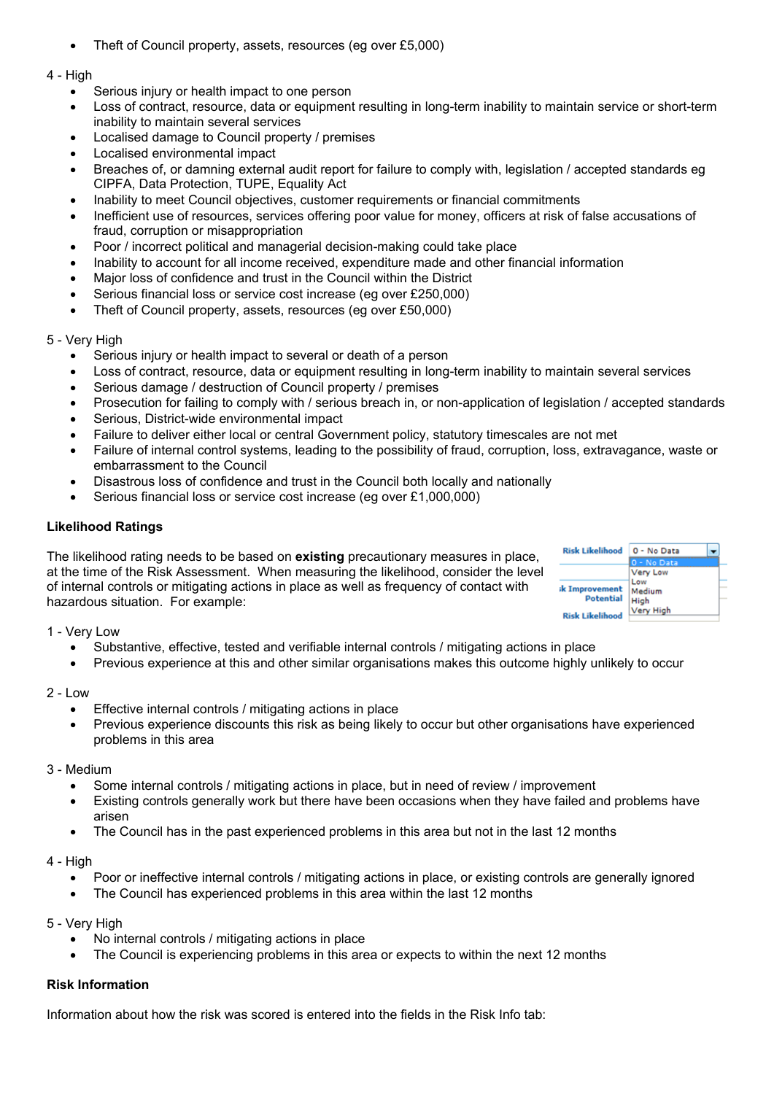- Theft of Council property, assets, resources (eg over £5,000)
- 4 High
	- Serious injury or health impact to one person
	- Loss of contract, resource, data or equipment resulting in long-term inability to maintain service or short-term inability to maintain several services
	- Localised damage to Council property / premises
	- Localised environmental impact
	- Breaches of, or damning external audit report for failure to comply with, legislation / accepted standards eg CIPFA, Data Protection, TUPE, Equality Act
	- Inability to meet Council objectives, customer requirements or financial commitments
	- Inefficient use of resources, services offering poor value for money, officers at risk of false accusations of fraud, corruption or misappropriation
	- Poor / incorrect political and managerial decision-making could take place
	- Inability to account for all income received, expenditure made and other financial information
	- Major loss of confidence and trust in the Council within the District
	- Serious financial loss or service cost increase (eg over £250,000)
	- Theft of Council property, assets, resources (eg over £50,000)

# 5 - Very High

- Serious injury or health impact to several or death of a person
- Loss of contract, resource, data or equipment resulting in long-term inability to maintain several services
- Serious damage / destruction of Council property / premises
- Prosecution for failing to comply with / serious breach in, or non-application of legislation / accepted standards
- Serious, District-wide environmental impact
- Failure to deliver either local or central Government policy, statutory timescales are not met
- Failure of internal control systems, leading to the possibility of fraud, corruption, loss, extravagance, waste or embarrassment to the Council
- Disastrous loss of confidence and trust in the Council both locally and nationally
- Serious financial loss or service cost increase (eg over £1,000,000)

# **Likelihood Ratings**

The likelihood rating needs to be based on **existing** precautionary measures in place, at the time of the Risk Assessment. When measuring the likelihood, consider the level of internal controls or mitigating actions in place as well as frequency of contact with hazardous situation. For example:



# 1 - Very Low

- Substantive, effective, tested and verifiable internal controls / mitigating actions in place
- Previous experience at this and other similar organisations makes this outcome highly unlikely to occur

## 2 - Low

- Effective internal controls / mitigating actions in place
- Previous experience discounts this risk as being likely to occur but other organisations have experienced problems in this area

# 3 - Medium

- Some internal controls / mitigating actions in place, but in need of review / improvement
- Existing controls generally work but there have been occasions when they have failed and problems have arisen
- The Council has in the past experienced problems in this area but not in the last 12 months

## 4 - High

- Poor or ineffective internal controls / mitigating actions in place, or existing controls are generally ignored
- The Council has experienced problems in this area within the last 12 months

## 5 - Very High

- No internal controls / mitigating actions in place
- The Council is experiencing problems in this area or expects to within the next 12 months

# **Risk Information**

Information about how the risk was scored is entered into the fields in the Risk Info tab: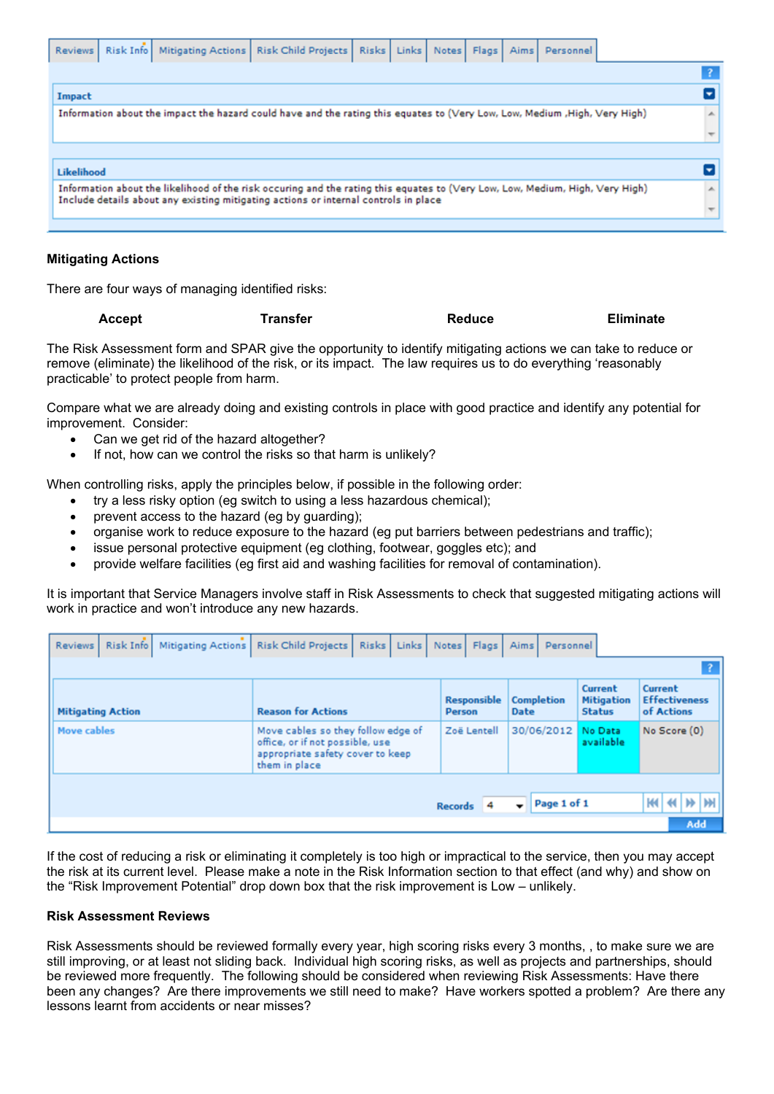| <b>Reviews</b>                                                                                                             | Risk Info |  |  | Mitigating Actions   Risk Child Projects                                                                                                                                                                             | <b>Risks</b> | Links | Notes | Flags                        | Aims | Personnel |  |                  |
|----------------------------------------------------------------------------------------------------------------------------|-----------|--|--|----------------------------------------------------------------------------------------------------------------------------------------------------------------------------------------------------------------------|--------------|-------|-------|------------------------------|------|-----------|--|------------------|
|                                                                                                                            |           |  |  |                                                                                                                                                                                                                      |              |       |       |                              |      |           |  |                  |
| Impact                                                                                                                     |           |  |  |                                                                                                                                                                                                                      |              |       |       |                              |      |           |  |                  |
| Information about the impact the hazard could have and the rating this equates to (Very Low, Low, Medium ,High, Very High) |           |  |  |                                                                                                                                                                                                                      |              |       |       | $\left  \mathcal{A} \right $ |      |           |  |                  |
|                                                                                                                            |           |  |  |                                                                                                                                                                                                                      |              |       |       |                              |      |           |  |                  |
|                                                                                                                            |           |  |  |                                                                                                                                                                                                                      |              |       |       |                              |      |           |  |                  |
| Likelihood                                                                                                                 |           |  |  |                                                                                                                                                                                                                      |              |       |       |                              |      |           |  |                  |
|                                                                                                                            |           |  |  | Information about the likelihood of the risk occuring and the rating this equates to (Very Low, Low, Medium, High, Very High)<br>Include details about any existing mitigating actions or internal controls in place |              |       |       |                              |      |           |  | $\blacktriangle$ |
|                                                                                                                            |           |  |  |                                                                                                                                                                                                                      |              |       |       |                              |      |           |  |                  |
|                                                                                                                            |           |  |  |                                                                                                                                                                                                                      |              |       |       |                              |      |           |  |                  |

## **Mitigating Actions**

There are four ways of managing identified risks:

| <b>Eliminate</b><br>Transfer<br><b>Reduce</b><br><b>Accept</b> |
|----------------------------------------------------------------|
|----------------------------------------------------------------|

The Risk Assessment form and SPAR give the opportunity to identify mitigating actions we can take to reduce or remove (eliminate) the likelihood of the risk, or its impact. The law requires us to do everything 'reasonably practicable' to protect people from harm.

Compare what we are already doing and existing controls in place with good practice and identify any potential for improvement. Consider:

- Can we get rid of the hazard altogether?
- If not, how can we control the risks so that harm is unlikely?

When controlling risks, apply the principles below, if possible in the following order:

- try a less risky option (eg switch to using a less hazardous chemical);
- prevent access to the hazard (eg by guarding);
- organise work to reduce exposure to the hazard (eg put barriers between pedestrians and traffic);
- issue personal protective equipment (eg clothing, footwear, goggles etc); and
- provide welfare facilities (eg first aid and washing facilities for removal of contamination).

It is important that Service Managers involve staff in Risk Assessments to check that suggested mitigating actions will work in practice and won't introduce any new hazards.

|                          | ٠<br><b>Mitigating Actions</b><br>Risk Info<br><b>Reviews</b> | Risk Child Projects<br>Risks<br>Links                                                                                      | <b>Flags</b><br>Notes               | Personnel<br>Aims         |                                               |                                               |  |  |  |  |
|--------------------------|---------------------------------------------------------------|----------------------------------------------------------------------------------------------------------------------------|-------------------------------------|---------------------------|-----------------------------------------------|-----------------------------------------------|--|--|--|--|
|                          |                                                               |                                                                                                                            |                                     |                           |                                               |                                               |  |  |  |  |
| <b>Mitigating Action</b> |                                                               | <b>Reason for Actions</b>                                                                                                  | <b>Responsible</b><br><b>Person</b> | <b>Completion</b><br>Date | Current<br><b>Mitigation</b><br><b>Status</b> | Current<br><b>Effectiveness</b><br>of Actions |  |  |  |  |
|                          | <b>Move cables</b>                                            | Move cables so they follow edge of<br>office, or if not possible, use<br>appropriate safety cover to keep<br>them in place | Zoë Lentell                         | 30/06/2012 No Data        | available                                     | No Score (0)                                  |  |  |  |  |
|                          |                                                               |                                                                                                                            | <b>Records</b>                      | Page 1 of 1               |                                               | W <br>к                                       |  |  |  |  |
|                          |                                                               |                                                                                                                            |                                     |                           |                                               | Add                                           |  |  |  |  |

If the cost of reducing a risk or eliminating it completely is too high or impractical to the service, then you may accept the risk at its current level. Please make a note in the Risk Information section to that effect (and why) and show on the "Risk Improvement Potential" drop down box that the risk improvement is Low – unlikely.

### **Risk Assessment Reviews**

Risk Assessments should be reviewed formally every year, high scoring risks every 3 months, , to make sure we are still improving, or at least not sliding back. Individual high scoring risks, as well as projects and partnerships, should be reviewed more frequently. The following should be considered when reviewing Risk Assessments: Have there been any changes? Are there improvements we still need to make? Have workers spotted a problem? Are there any lessons learnt from accidents or near misses?